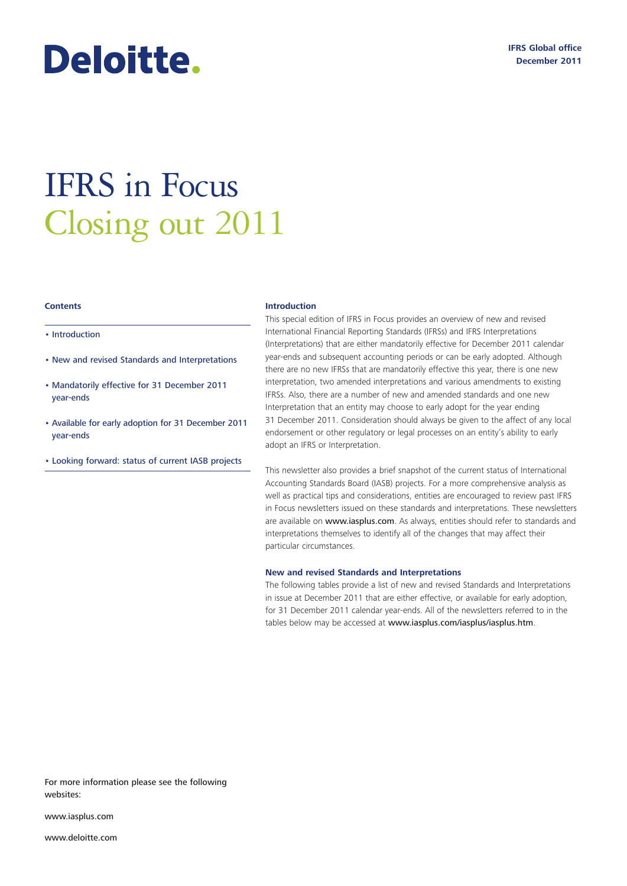# Deloitte.

# IFRS in Focus Closing out 2011

#### **Contents**

- Introduction
- New and revised Standards and Interpretations
- Mandatorily effective for 31 December 2011 year-ends
- Available for early adoption for 31 December 2011 year-ends
- Looking forward: status of current IASB projects

#### **Introduction**

This special edition of IFRS in Focus provides an overview of new and revised International Financial Reporting Standards (IFRSs) and IFRS Interpretations (Interpretations) that are either mandatorily effective for December 2011 calendar year-ends and subsequent accounting periods or can be early adopted. Although there are no new IFRSs that are mandatorily effective this year, there is one new interpretation, two amended interpretations and various amendments to existing IFRSs. Also, there are a number of new and amended standards and one new Interpretation that an entity may choose to early adopt for the year ending 31 December 2011. Consideration should always be given to the affect of any local endorsement or other regulatory or legal processes on an entity's ability to early adopt an IFRS or Interpretation.

This newsletter also provides a brief snapshot of the current status of International Accounting Standards Board (IASB) projects. For a more comprehensive analysis as well as practical tips and considerations, entities are encouraged to review past IFRS in Focus newsletters issued on these standards and interpretations. These newsletters are available on www.iasplus.com. As always, entities should refer to standards and interpretations themselves to identify all of the changes that may affect their particular circumstances.

#### **New and revised Standards and Interpretations**

The following tables provide a list of new and revised Standards and Interpretations in issue at December 2011 that are either effective, or available for early adoption, for 31 December 2011 calendar year-ends. All of the newsletters referred to in the tables below may be accessed at www.iasplus.com/iasplus/iasplus.htm.

For more information please see the following websites:

www.iasplus.com

www.deloitte.com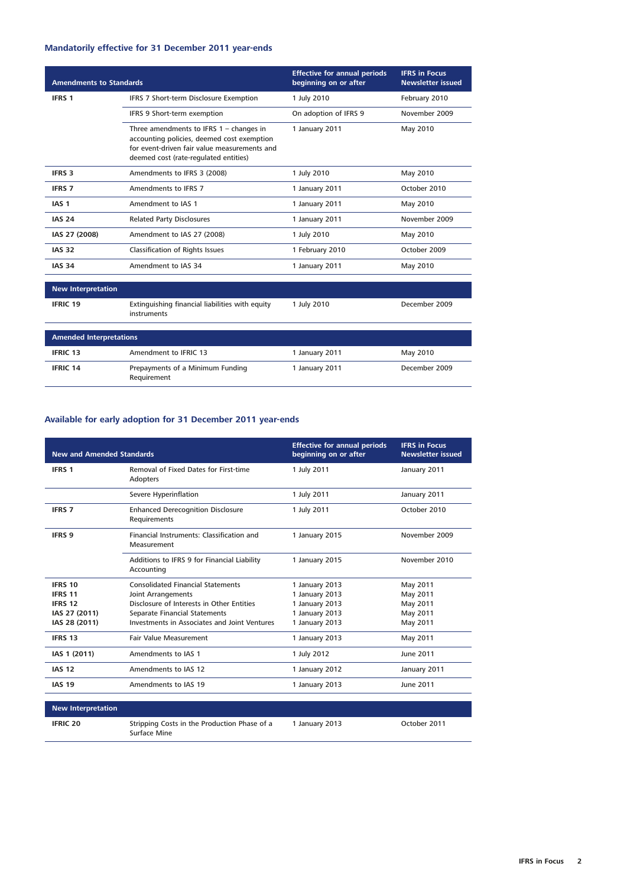# **Mandatorily effective for 31 December 2011 year-ends**

| <b>Amendments to Standards</b> |                                                                                                                                                                                  | <b>Effective for annual periods</b><br>beginning on or after | <b>IFRS in Focus</b><br><b>Newsletter issued</b> |
|--------------------------------|----------------------------------------------------------------------------------------------------------------------------------------------------------------------------------|--------------------------------------------------------------|--------------------------------------------------|
| IFRS 1                         | IFRS 7 Short-term Disclosure Exemption                                                                                                                                           | 1 July 2010                                                  | February 2010                                    |
|                                | IFRS 9 Short-term exemption                                                                                                                                                      | On adoption of IFRS 9                                        | November 2009                                    |
|                                | Three amendments to IFRS $1 -$ changes in<br>accounting policies, deemed cost exemption<br>for event-driven fair value measurements and<br>deemed cost (rate-regulated entities) | 1 January 2011                                               | May 2010                                         |
| <b>IFRS 3</b>                  | Amendments to IFRS 3 (2008)                                                                                                                                                      | 1 July 2010                                                  | May 2010                                         |
| <b>IFRS 7</b>                  | Amendments to IFRS 7                                                                                                                                                             | 1 January 2011                                               | October 2010                                     |
| IAS <sub>1</sub>               | Amendment to IAS 1                                                                                                                                                               | 1 January 2011                                               | May 2010                                         |
| <b>IAS 24</b>                  | <b>Related Party Disclosures</b>                                                                                                                                                 | 1 January 2011                                               | November 2009                                    |
| IAS 27 (2008)                  | Amendment to IAS 27 (2008)                                                                                                                                                       | 1 July 2010                                                  | May 2010                                         |
| <b>IAS 32</b>                  | Classification of Rights Issues                                                                                                                                                  | 1 February 2010                                              | October 2009                                     |
| <b>IAS 34</b>                  | Amendment to IAS 34                                                                                                                                                              | 1 January 2011                                               | May 2010                                         |
| <b>New Interpretation</b>      |                                                                                                                                                                                  |                                                              |                                                  |
| <b>IFRIC 19</b>                | Extinguishing financial liabilities with equity<br>instruments                                                                                                                   | 1 July 2010                                                  | December 2009                                    |
| <b>Amended Interpretations</b> |                                                                                                                                                                                  |                                                              |                                                  |
| <b>IFRIC 13</b>                | Amendment to IFRIC 13                                                                                                                                                            | 1 January 2011                                               | May 2010                                         |
| <b>IFRIC 14</b>                | Prepayments of a Minimum Funding<br>Requirement                                                                                                                                  | 1 January 2011                                               | December 2009                                    |

# **Available for early adoption for 31 December 2011 year-ends**

| <b>New and Amended Standards</b> |                                                              | <b>Effective for annual periods</b><br>beginning on or after | <b>IFRS in Focus</b><br><b>Newsletter issued</b> |
|----------------------------------|--------------------------------------------------------------|--------------------------------------------------------------|--------------------------------------------------|
| <b>IFRS 1</b>                    | Removal of Fixed Dates for First-time<br>Adopters            | 1 July 2011                                                  | January 2011                                     |
|                                  | Severe Hyperinflation                                        | 1 July 2011                                                  | January 2011                                     |
| <b>IFRS 7</b>                    | <b>Enhanced Derecognition Disclosure</b><br>Requirements     | 1 July 2011                                                  | October 2010                                     |
| <b>IFRS 9</b>                    | Financial Instruments: Classification and<br>Measurement     | 1 January 2015                                               | November 2009                                    |
|                                  | Additions to IFRS 9 for Financial Liability<br>Accounting    | 1 January 2015                                               | November 2010                                    |
| IFRS 10                          | <b>Consolidated Financial Statements</b>                     | 1 January 2013                                               | May 2011                                         |
| <b>IFRS 11</b>                   | <b>Joint Arrangements</b>                                    | 1 January 2013                                               | May 2011                                         |
| <b>IFRS 12</b>                   | Disclosure of Interests in Other Entities                    | 1 January 2013                                               | May 2011                                         |
| IAS 27 (2011)                    | Separate Financial Statements                                | 1 January 2013                                               | May 2011                                         |
| IAS 28 (2011)                    | Investments in Associates and Joint Ventures                 | 1 January 2013                                               | May 2011                                         |
| <b>IFRS 13</b>                   | <b>Fair Value Measurement</b>                                | 1 January 2013                                               | May 2011                                         |
| IAS 1 (2011)                     | Amendments to IAS 1                                          | 1 July 2012                                                  | June 2011                                        |
| <b>IAS 12</b>                    | Amendments to IAS 12                                         | 1 January 2012                                               | January 2011                                     |
| <b>IAS 19</b>                    | Amendments to IAS 19                                         | 1 January 2013                                               | June 2011                                        |
| <b>New Interpretation</b>        |                                                              |                                                              |                                                  |
| <b>IFRIC 20</b>                  | Stripping Costs in the Production Phase of a<br>Surface Mine | 1 January 2013                                               | October 2011                                     |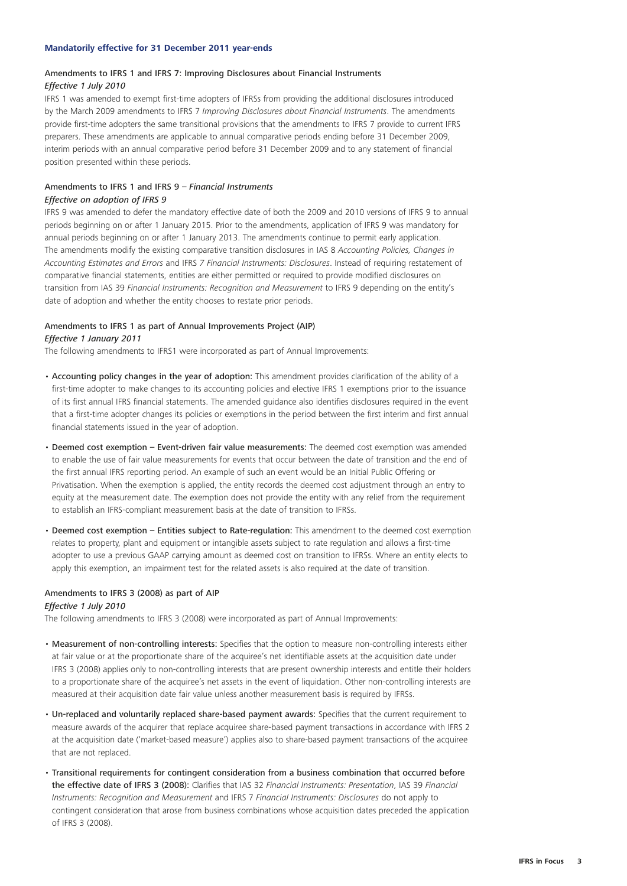#### **Mandatorily effective for 31 December 2011 year-ends**

#### Amendments to IFRS 1 and IFRS 7: Improving Disclosures about Financial Instruments *Effective 1 July 2010*

IFRS 1 was amended to exempt first-time adopters of IFRSs from providing the additional disclosures introduced by the March 2009 amendments to IFRS 7 *Improving Disclosures about Financial Instruments*. The amendments provide first-time adopters the same transitional provisions that the amendments to IFRS 7 provide to current IFRS preparers. These amendments are applicable to annual comparative periods ending before 31 December 2009, interim periods with an annual comparative period before 31 December 2009 and to any statement of financial position presented within these periods.

# Amendments to IFRS 1 and IFRS 9 – *Financial Instruments*

# *Effective on adoption of IFRS 9*

IFRS 9 was amended to defer the mandatory effective date of both the 2009 and 2010 versions of IFRS 9 to annual periods beginning on or after 1 January 2015. Prior to the amendments, application of IFRS 9 was mandatory for annual periods beginning on or after 1 January 2013. The amendments continue to permit early application. The amendments modify the existing comparative transition disclosures in IAS 8 *Accounting Policies, Changes in Accounting Estimates and Errors* and IFRS *7 Financial Instruments: Disclosures*. Instead of requiring restatement of comparative financial statements, entities are either permitted or required to provide modified disclosures on transition from IAS 39 *Financial Instruments: Recognition and Measurement* to IFRS 9 depending on the entity's date of adoption and whether the entity chooses to restate prior periods.

# Amendments to IFRS 1 as part of Annual Improvements Project (AIP)

#### *Effective 1 January 2011*

The following amendments to IFRS1 were incorporated as part of Annual Improvements:

- Accounting policy changes in the year of adoption: This amendment provides clarification of the ability of a first-time adopter to make changes to its accounting policies and elective IFRS 1 exemptions prior to the issuance of its first annual IFRS financial statements. The amended guidance also identifies disclosures required in the event that a first-time adopter changes its policies or exemptions in the period between the first interim and first annual financial statements issued in the year of adoption.
- Deemed cost exemption Event-driven fair value measurements: The deemed cost exemption was amended to enable the use of fair value measurements for events that occur between the date of transition and the end of the first annual IFRS reporting period. An example of such an event would be an Initial Public Offering or Privatisation. When the exemption is applied, the entity records the deemed cost adjustment through an entry to equity at the measurement date. The exemption does not provide the entity with any relief from the requirement to establish an IFRS-compliant measurement basis at the date of transition to IFRSs.
- Deemed cost exemption Entities subject to Rate-regulation: This amendment to the deemed cost exemption relates to property, plant and equipment or intangible assets subject to rate regulation and allows a first-time adopter to use a previous GAAP carrying amount as deemed cost on transition to IFRSs. Where an entity elects to apply this exemption, an impairment test for the related assets is also required at the date of transition.

#### Amendments to IFRS 3 (2008) as part of AIP

#### *Effective 1 July 2010*

The following amendments to IFRS 3 (2008) were incorporated as part of Annual Improvements:

- Measurement of non-controlling interests: Specifies that the option to measure non-controlling interests either at fair value or at the proportionate share of the acquiree's net identifiable assets at the acquisition date under IFRS 3 (2008) applies only to non-controlling interests that are present ownership interests and entitle their holders to a proportionate share of the acquiree's net assets in the event of liquidation. Other non-controlling interests are measured at their acquisition date fair value unless another measurement basis is required by IFRSs.
- Un-replaced and voluntarily replaced share-based payment awards: Specifies that the current requirement to measure awards of the acquirer that replace acquiree share-based payment transactions in accordance with IFRS 2 at the acquisition date ('market-based measure') applies also to share-based payment transactions of the acquiree that are not replaced.
- Transitional requirements for contingent consideration from a business combination that occurred before the effective date of IFRS 3 (2008): Clarifies that IAS 32 *Financial Instruments: Presentation*, IAS 39 *Financial Instruments: Recognition and Measurement* and IFRS 7 *Financial Instruments: Disclosures* do not apply to contingent consideration that arose from business combinations whose acquisition dates preceded the application of IFRS 3 (2008).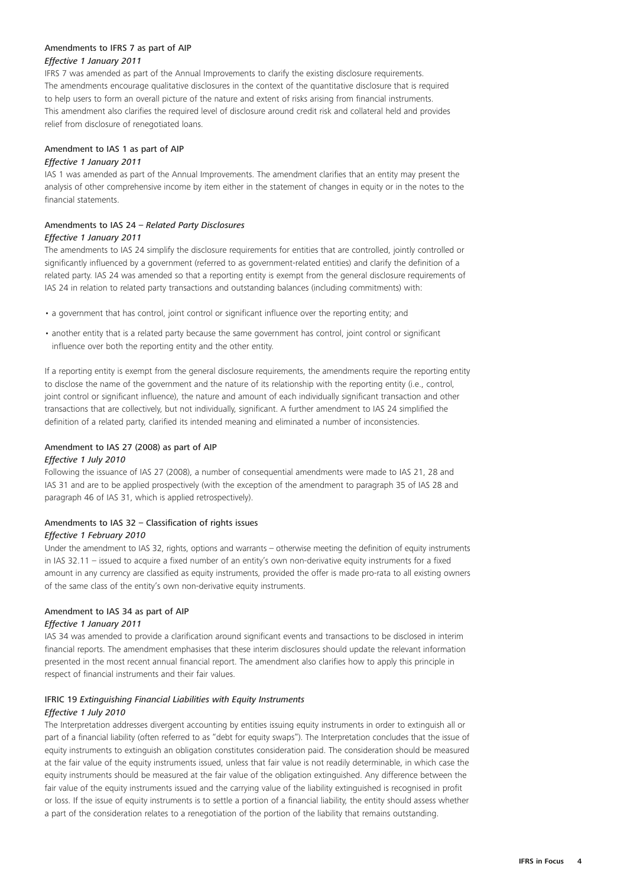# Amendments to IFRS 7 as part of AIP *Effective 1 January 2011*

IFRS 7 was amended as part of the Annual Improvements to clarify the existing disclosure requirements. The amendments encourage qualitative disclosures in the context of the quantitative disclosure that is required to help users to form an overall picture of the nature and extent of risks arising from financial instruments. This amendment also clarifies the required level of disclosure around credit risk and collateral held and provides relief from disclosure of renegotiated loans.

# Amendment to IAS 1 as part of AIP

#### *Effective 1 January 2011*

IAS 1 was amended as part of the Annual Improvements. The amendment clarifies that an entity may present the analysis of other comprehensive income by item either in the statement of changes in equity or in the notes to the financial statements.

#### Amendments to IAS 24 – *Related Party Disclosures Effective 1 January 2011*

The amendments to IAS 24 simplify the disclosure requirements for entities that are controlled, jointly controlled or significantly influenced by a government (referred to as government-related entities) and clarify the definition of a related party. IAS 24 was amended so that a reporting entity is exempt from the general disclosure requirements of IAS 24 in relation to related party transactions and outstanding balances (including commitments) with:

- a government that has control, joint control or significant influence over the reporting entity; and
- another entity that is a related party because the same government has control, joint control or significant influence over both the reporting entity and the other entity.

If a reporting entity is exempt from the general disclosure requirements, the amendments require the reporting entity to disclose the name of the government and the nature of its relationship with the reporting entity (i.e., control, joint control or significant influence), the nature and amount of each individually significant transaction and other transactions that are collectively, but not individually, significant. A further amendment to IAS 24 simplified the definition of a related party, clarified its intended meaning and eliminated a number of inconsistencies.

# Amendment to IAS 27 (2008) as part of AIP

#### *Effective 1 July 2010*

Following the issuance of IAS 27 (2008), a number of consequential amendments were made to IAS 21, 28 and IAS 31 and are to be applied prospectively (with the exception of the amendment to paragraph 35 of IAS 28 and paragraph 46 of IAS 31, which is applied retrospectively).

# Amendments to IAS 32 – Classification of rights issues

# *Effective 1 February 2010*

Under the amendment to IAS 32, rights, options and warrants – otherwise meeting the definition of equity instruments in IAS 32.11 – issued to acquire a fixed number of an entity's own non-derivative equity instruments for a fixed amount in any currency are classified as equity instruments, provided the offer is made pro-rata to all existing owners of the same class of the entity's own non-derivative equity instruments.

# Amendment to IAS 34 as part of AIP

# *Effective 1 January 2011*

IAS 34 was amended to provide a clarification around significant events and transactions to be disclosed in interim financial reports. The amendment emphasises that these interim disclosures should update the relevant information presented in the most recent annual financial report. The amendment also clarifies how to apply this principle in respect of financial instruments and their fair values.

# IFRIC 19 *Extinguishing Financial Liabilities with Equity Instruments Effective 1 July 2010*

The Interpretation addresses divergent accounting by entities issuing equity instruments in order to extinguish all or part of a financial liability (often referred to as "debt for equity swaps"). The Interpretation concludes that the issue of equity instruments to extinguish an obligation constitutes consideration paid. The consideration should be measured at the fair value of the equity instruments issued, unless that fair value is not readily determinable, in which case the equity instruments should be measured at the fair value of the obligation extinguished. Any difference between the fair value of the equity instruments issued and the carrying value of the liability extinguished is recognised in profit or loss. If the issue of equity instruments is to settle a portion of a financial liability, the entity should assess whether a part of the consideration relates to a renegotiation of the portion of the liability that remains outstanding.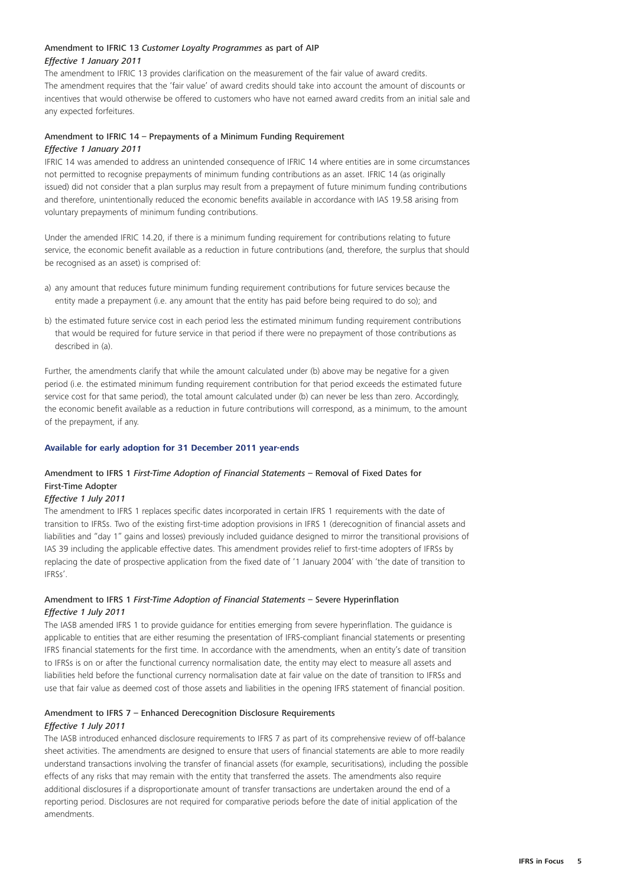# Amendment to IFRIC 13 *Customer Loyalty Programmes* as part of AIP *Effective 1 January 2011*

The amendment to IFRIC 13 provides clarification on the measurement of the fair value of award credits. The amendment requires that the 'fair value' of award credits should take into account the amount of discounts or incentives that would otherwise be offered to customers who have not earned award credits from an initial sale and any expected forfeitures.

#### Amendment to IFRIC 14 – Prepayments of a Minimum Funding Requirement *Effective 1 January 2011*

IFRIC 14 was amended to address an unintended consequence of IFRIC 14 where entities are in some circumstances not permitted to recognise prepayments of minimum funding contributions as an asset. IFRIC 14 (as originally issued) did not consider that a plan surplus may result from a prepayment of future minimum funding contributions and therefore, unintentionally reduced the economic benefits available in accordance with IAS 19.58 arising from voluntary prepayments of minimum funding contributions.

Under the amended IFRIC 14.20, if there is a minimum funding requirement for contributions relating to future service, the economic benefit available as a reduction in future contributions (and, therefore, the surplus that should be recognised as an asset) is comprised of:

- a) any amount that reduces future minimum funding requirement contributions for future services because the entity made a prepayment (i.e. any amount that the entity has paid before being required to do so); and
- b) the estimated future service cost in each period less the estimated minimum funding requirement contributions that would be required for future service in that period if there were no prepayment of those contributions as described in (a).

Further, the amendments clarify that while the amount calculated under (b) above may be negative for a given period (i.e. the estimated minimum funding requirement contribution for that period exceeds the estimated future service cost for that same period), the total amount calculated under (b) can never be less than zero. Accordingly, the economic benefit available as a reduction in future contributions will correspond, as a minimum, to the amount of the prepayment, if any.

#### **Available for early adoption for 31 December 2011 year-ends**

# Amendment to IFRS 1 *First-Time Adoption of Financial Statements* – Removal of Fixed Dates for First-Time Adopter

# *Effective 1 July 2011*

The amendment to IFRS 1 replaces specific dates incorporated in certain IFRS 1 requirements with the date of transition to IFRSs. Two of the existing first-time adoption provisions in IFRS 1 (derecognition of financial assets and liabilities and "day 1" gains and losses) previously included guidance designed to mirror the transitional provisions of IAS 39 including the applicable effective dates. This amendment provides relief to first-time adopters of IFRSs by replacing the date of prospective application from the fixed date of '1 January 2004' with 'the date of transition to IFRSs'.

# Amendment to IFRS 1 *First-Time Adoption of Financial Statements* – Severe Hyperinflation *Effective 1 July 2011*

The IASB amended IFRS 1 to provide guidance for entities emerging from severe hyperinflation. The guidance is applicable to entities that are either resuming the presentation of IFRS-compliant financial statements or presenting IFRS financial statements for the first time. In accordance with the amendments, when an entity's date of transition to IFRSs is on or after the functional currency normalisation date, the entity may elect to measure all assets and liabilities held before the functional currency normalisation date at fair value on the date of transition to IFRSs and use that fair value as deemed cost of those assets and liabilities in the opening IFRS statement of financial position.

# Amendment to IFRS 7 – Enhanced Derecognition Disclosure Requirements *Effective 1 July 2011*

The IASB introduced enhanced disclosure requirements to IFRS 7 as part of its comprehensive review of off-balance sheet activities. The amendments are designed to ensure that users of financial statements are able to more readily understand transactions involving the transfer of financial assets (for example, securitisations), including the possible effects of any risks that may remain with the entity that transferred the assets. The amendments also require additional disclosures if a disproportionate amount of transfer transactions are undertaken around the end of a reporting period. Disclosures are not required for comparative periods before the date of initial application of the amendments.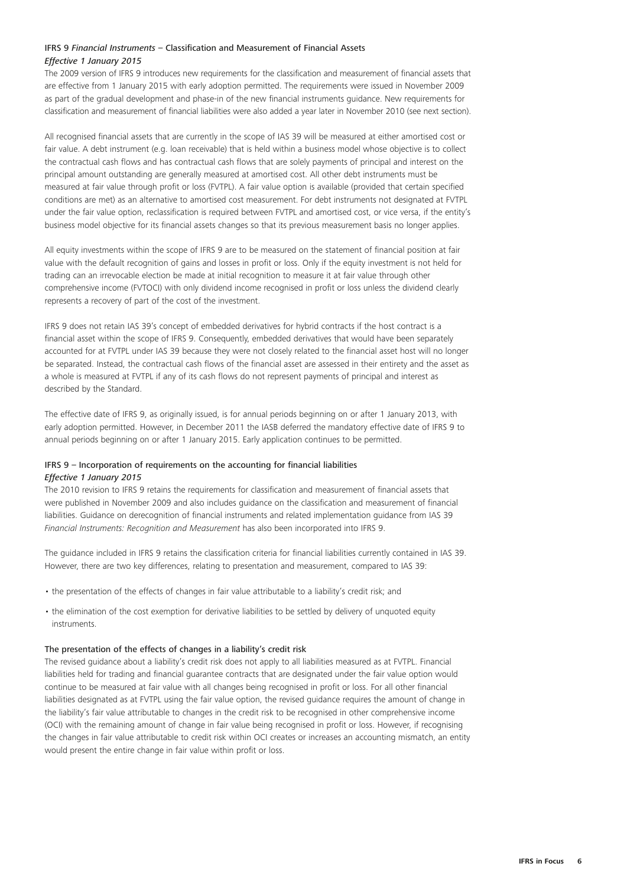# IFRS 9 *Financial Instruments* – Classification and Measurement of Financial Assets *Effective 1 January 2015*

The 2009 version of IFRS 9 introduces new requirements for the classification and measurement of financial assets that are effective from 1 January 2015 with early adoption permitted. The requirements were issued in November 2009 as part of the gradual development and phase-in of the new financial instruments guidance. New requirements for classification and measurement of financial liabilities were also added a year later in November 2010 (see next section).

All recognised financial assets that are currently in the scope of IAS 39 will be measured at either amortised cost or fair value. A debt instrument (e.g. loan receivable) that is held within a business model whose objective is to collect the contractual cash flows and has contractual cash flows that are solely payments of principal and interest on the principal amount outstanding are generally measured at amortised cost. All other debt instruments must be measured at fair value through profit or loss (FVTPL). A fair value option is available (provided that certain specified conditions are met) as an alternative to amortised cost measurement. For debt instruments not designated at FVTPL under the fair value option, reclassification is required between FVTPL and amortised cost, or vice versa, if the entity's business model objective for its financial assets changes so that its previous measurement basis no longer applies.

All equity investments within the scope of IFRS 9 are to be measured on the statement of financial position at fair value with the default recognition of gains and losses in profit or loss. Only if the equity investment is not held for trading can an irrevocable election be made at initial recognition to measure it at fair value through other comprehensive income (FVTOCI) with only dividend income recognised in profit or loss unless the dividend clearly represents a recovery of part of the cost of the investment.

IFRS 9 does not retain IAS 39's concept of embedded derivatives for hybrid contracts if the host contract is a financial asset within the scope of IFRS 9. Consequently, embedded derivatives that would have been separately accounted for at FVTPL under IAS 39 because they were not closely related to the financial asset host will no longer be separated. Instead, the contractual cash flows of the financial asset are assessed in their entirety and the asset as a whole is measured at FVTPL if any of its cash flows do not represent payments of principal and interest as described by the Standard.

The effective date of IFRS 9, as originally issued, is for annual periods beginning on or after 1 January 2013, with early adoption permitted. However, in December 2011 the IASB deferred the mandatory effective date of IFRS 9 to annual periods beginning on or after 1 January 2015. Early application continues to be permitted.

# IFRS 9 – Incorporation of requirements on the accounting for financial liabilities *Effective 1 January 2015*

The 2010 revision to IFRS 9 retains the requirements for classification and measurement of financial assets that were published in November 2009 and also includes guidance on the classification and measurement of financial liabilities. Guidance on derecognition of financial instruments and related implementation guidance from IAS 39 *Financial Instruments: Recognition and Measurement* has also been incorporated into IFRS 9.

The guidance included in IFRS 9 retains the classification criteria for financial liabilities currently contained in IAS 39. However, there are two key differences, relating to presentation and measurement, compared to IAS 39:

- the presentation of the effects of changes in fair value attributable to a liability's credit risk; and
- the elimination of the cost exemption for derivative liabilities to be settled by delivery of unquoted equity instruments.

#### The presentation of the effects of changes in a liability's credit risk

The revised guidance about a liability's credit risk does not apply to all liabilities measured as at FVTPL. Financial liabilities held for trading and financial guarantee contracts that are designated under the fair value option would continue to be measured at fair value with all changes being recognised in profit or loss. For all other financial liabilities designated as at FVTPL using the fair value option, the revised guidance requires the amount of change in the liability's fair value attributable to changes in the credit risk to be recognised in other comprehensive income (OCI) with the remaining amount of change in fair value being recognised in profit or loss. However, if recognising the changes in fair value attributable to credit risk within OCI creates or increases an accounting mismatch, an entity would present the entire change in fair value within profit or loss.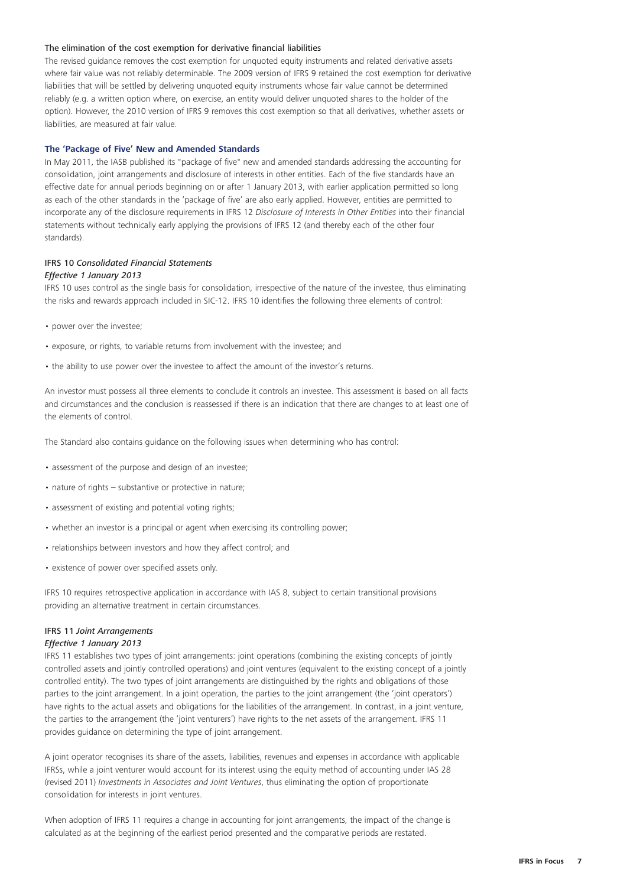#### The elimination of the cost exemption for derivative financial liabilities

The revised guidance removes the cost exemption for unquoted equity instruments and related derivative assets where fair value was not reliably determinable. The 2009 version of IFRS 9 retained the cost exemption for derivative liabilities that will be settled by delivering unquoted equity instruments whose fair value cannot be determined reliably (e.g. a written option where, on exercise, an entity would deliver unquoted shares to the holder of the option). However, the 2010 version of IFRS 9 removes this cost exemption so that all derivatives, whether assets or liabilities, are measured at fair value.

#### **The 'Package of Five' New and Amended Standards**

In May 2011, the IASB published its "package of five" new and amended standards addressing the accounting for consolidation, joint arrangements and disclosure of interests in other entities. Each of the five standards have an effective date for annual periods beginning on or after 1 January 2013, with earlier application permitted so long as each of the other standards in the 'package of five' are also early applied. However, entities are permitted to incorporate any of the disclosure requirements in IFRS 12 *Disclosure of Interests in Other Entities* into their financial statements without technically early applying the provisions of IFRS 12 (and thereby each of the other four standards).

#### IFRS 10 *Consolidated Financial Statements*

#### *Effective 1 January 2013*

IFRS 10 uses control as the single basis for consolidation, irrespective of the nature of the investee, thus eliminating the risks and rewards approach included in SIC-12. IFRS 10 identifies the following three elements of control:

- power over the investee;
- exposure, or rights, to variable returns from involvement with the investee; and
- the ability to use power over the investee to affect the amount of the investor's returns.

An investor must possess all three elements to conclude it controls an investee. This assessment is based on all facts and circumstances and the conclusion is reassessed if there is an indication that there are changes to at least one of the elements of control.

The Standard also contains guidance on the following issues when determining who has control:

- assessment of the purpose and design of an investee;
- nature of rights substantive or protective in nature;
- assessment of existing and potential voting rights;
- whether an investor is a principal or agent when exercising its controlling power;
- relationships between investors and how they affect control; and
- existence of power over specified assets only.

IFRS 10 requires retrospective application in accordance with IAS 8, subject to certain transitional provisions providing an alternative treatment in certain circumstances.

# IFRS 11 *Joint Arrangements*

#### *Effective 1 January 2013*

IFRS 11 establishes two types of joint arrangements: joint operations (combining the existing concepts of jointly controlled assets and jointly controlled operations) and joint ventures (equivalent to the existing concept of a jointly controlled entity). The two types of joint arrangements are distinguished by the rights and obligations of those parties to the joint arrangement. In a joint operation, the parties to the joint arrangement (the 'joint operators') have rights to the actual assets and obligations for the liabilities of the arrangement. In contrast, in a joint venture, the parties to the arrangement (the 'joint venturers') have rights to the net assets of the arrangement. IFRS 11 provides guidance on determining the type of joint arrangement.

A joint operator recognises its share of the assets, liabilities, revenues and expenses in accordance with applicable IFRSs, while a joint venturer would account for its interest using the equity method of accounting under IAS 28 (revised 2011) *Investments in Associates and Joint Ventures*, thus eliminating the option of proportionate consolidation for interests in joint ventures.

When adoption of IFRS 11 requires a change in accounting for joint arrangements, the impact of the change is calculated as at the beginning of the earliest period presented and the comparative periods are restated.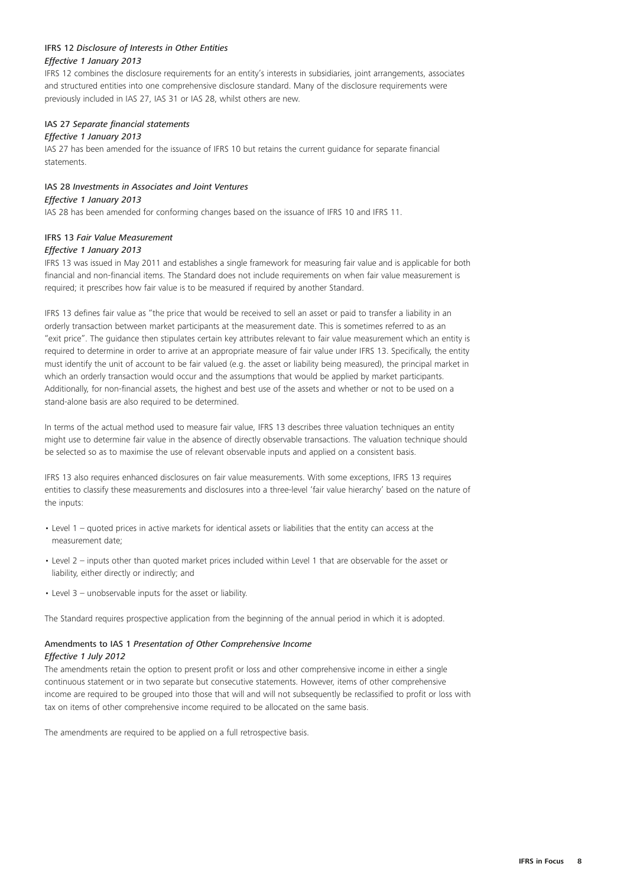#### IFRS 12 *Disclosure of Interests in Other Entities Effective 1 January 2013*

IFRS 12 combines the disclosure requirements for an entity's interests in subsidiaries, joint arrangements, associates and structured entities into one comprehensive disclosure standard. Many of the disclosure requirements were previously included in IAS 27, IAS 31 or IAS 28, whilst others are new.

#### IAS 27 *Separate financial statements*

#### *Effective 1 January 2013*

IAS 27 has been amended for the issuance of IFRS 10 but retains the current guidance for separate financial statements.

# IAS 28 *Investments in Associates and Joint Ventures*

*Effective 1 January 2013*

IAS 28 has been amended for conforming changes based on the issuance of IFRS 10 and IFRS 11.

# IFRS 13 *Fair Value Measurement*

### *Effective 1 January 2013*

IFRS 13 was issued in May 2011 and establishes a single framework for measuring fair value and is applicable for both financial and non-financial items. The Standard does not include requirements on when fair value measurement is required; it prescribes how fair value is to be measured if required by another Standard.

IFRS 13 defines fair value as "the price that would be received to sell an asset or paid to transfer a liability in an orderly transaction between market participants at the measurement date. This is sometimes referred to as an "exit price". The guidance then stipulates certain key attributes relevant to fair value measurement which an entity is required to determine in order to arrive at an appropriate measure of fair value under IFRS 13. Specifically, the entity must identify the unit of account to be fair valued (e.g. the asset or liability being measured), the principal market in which an orderly transaction would occur and the assumptions that would be applied by market participants. Additionally, for non-financial assets, the highest and best use of the assets and whether or not to be used on a stand-alone basis are also required to be determined.

In terms of the actual method used to measure fair value, IFRS 13 describes three valuation techniques an entity might use to determine fair value in the absence of directly observable transactions. The valuation technique should be selected so as to maximise the use of relevant observable inputs and applied on a consistent basis.

IFRS 13 also requires enhanced disclosures on fair value measurements. With some exceptions, IFRS 13 requires entities to classify these measurements and disclosures into a three-level 'fair value hierarchy' based on the nature of the inputs:

- Level 1 quoted prices in active markets for identical assets or liabilities that the entity can access at the measurement date;
- Level 2 inputs other than quoted market prices included within Level 1 that are observable for the asset or liability, either directly or indirectly; and
- Level 3 unobservable inputs for the asset or liability.

The Standard requires prospective application from the beginning of the annual period in which it is adopted.

### Amendments to IAS 1 *Presentation of Other Comprehensive Income Effective 1 July 2012*

The amendments retain the option to present profit or loss and other comprehensive income in either a single continuous statement or in two separate but consecutive statements. However, items of other comprehensive income are required to be grouped into those that will and will not subsequently be reclassified to profit or loss with tax on items of other comprehensive income required to be allocated on the same basis.

The amendments are required to be applied on a full retrospective basis.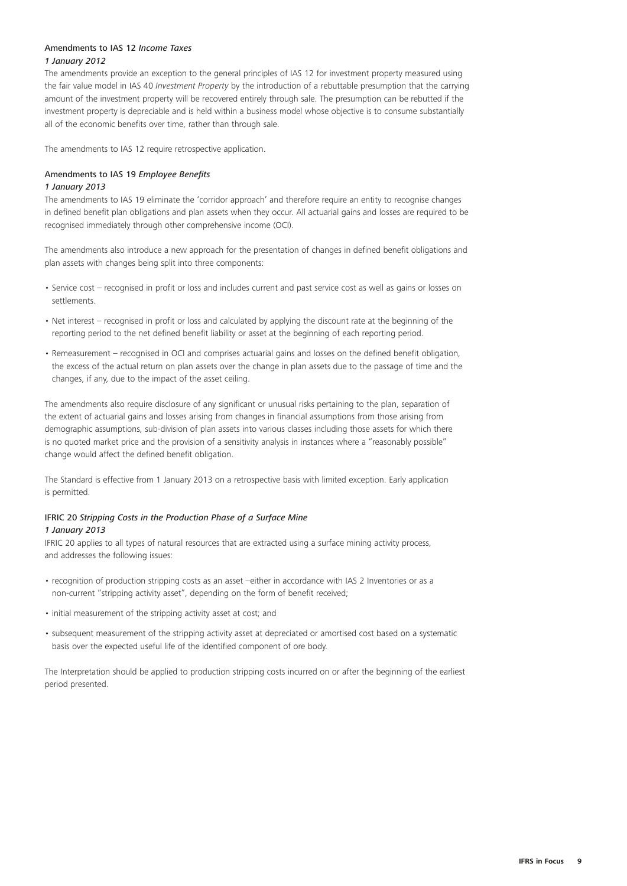# Amendments to IAS 12 *Income Taxes 1 January 2012*

The amendments provide an exception to the general principles of IAS 12 for investment property measured using the fair value model in IAS 40 *Investment Property* by the introduction of a rebuttable presumption that the carrying amount of the investment property will be recovered entirely through sale. The presumption can be rebutted if the investment property is depreciable and is held within a business model whose objective is to consume substantially all of the economic benefits over time, rather than through sale.

The amendments to IAS 12 require retrospective application.

#### Amendments to IAS 19 *Employee Benefits*

#### *1 January 2013*

The amendments to IAS 19 eliminate the 'corridor approach' and therefore require an entity to recognise changes in defined benefit plan obligations and plan assets when they occur. All actuarial gains and losses are required to be recognised immediately through other comprehensive income (OCI).

The amendments also introduce a new approach for the presentation of changes in defined benefit obligations and plan assets with changes being split into three components:

- Service cost recognised in profit or loss and includes current and past service cost as well as gains or losses on settlements.
- Net interest recognised in profit or loss and calculated by applying the discount rate at the beginning of the reporting period to the net defined benefit liability or asset at the beginning of each reporting period.
- Remeasurement recognised in OCI and comprises actuarial gains and losses on the defined benefit obligation, the excess of the actual return on plan assets over the change in plan assets due to the passage of time and the changes, if any, due to the impact of the asset ceiling.

The amendments also require disclosure of any significant or unusual risks pertaining to the plan, separation of the extent of actuarial gains and losses arising from changes in financial assumptions from those arising from demographic assumptions, sub-division of plan assets into various classes including those assets for which there is no quoted market price and the provision of a sensitivity analysis in instances where a "reasonably possible" change would affect the defined benefit obligation.

The Standard is effective from 1 January 2013 on a retrospective basis with limited exception. Early application is permitted.

# IFRIC 20 *Stripping Costs in the Production Phase of a Surface Mine 1 January 2013*

IFRIC 20 applies to all types of natural resources that are extracted using a surface mining activity process, and addresses the following issues:

- recognition of production stripping costs as an asset –either in accordance with IAS 2 Inventories or as a non-current "stripping activity asset", depending on the form of benefit received;
- initial measurement of the stripping activity asset at cost; and
- subsequent measurement of the stripping activity asset at depreciated or amortised cost based on a systematic basis over the expected useful life of the identified component of ore body.

The Interpretation should be applied to production stripping costs incurred on or after the beginning of the earliest period presented.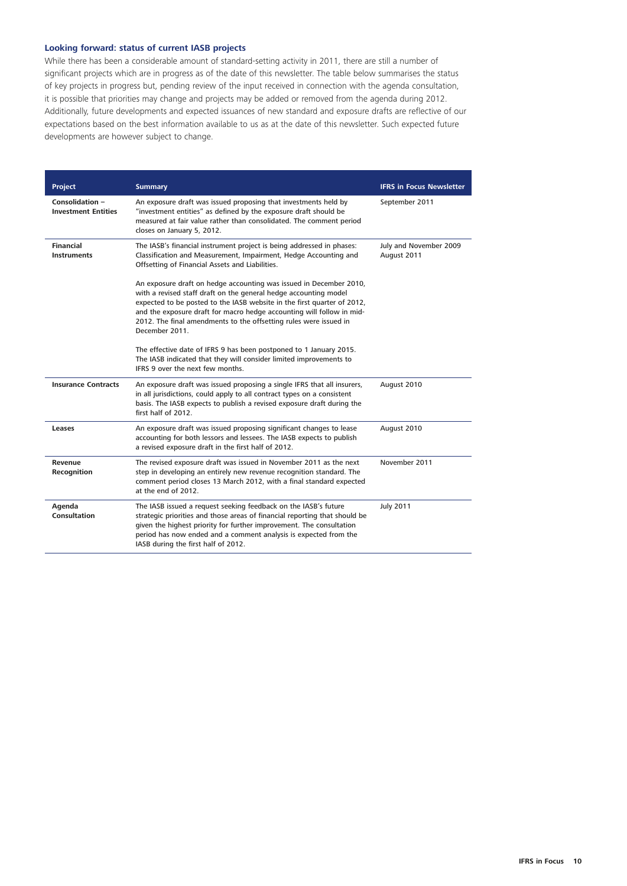# **Looking forward: status of current IASB projects**

While there has been a considerable amount of standard-setting activity in 2011, there are still a number of significant projects which are in progress as of the date of this newsletter. The table below summarises the status of key projects in progress but, pending review of the input received in connection with the agenda consultation, it is possible that priorities may change and projects may be added or removed from the agenda during 2012. Additionally, future developments and expected issuances of new standard and exposure drafts are reflective of our expectations based on the best information available to us as at the date of this newsletter. Such expected future developments are however subject to change.

| <b>Project</b>                                       | <b>Summary</b>                                                                                                                                                                                                                                                                                                                                                                    | <b>IFRS in Focus Newsletter</b>       |
|------------------------------------------------------|-----------------------------------------------------------------------------------------------------------------------------------------------------------------------------------------------------------------------------------------------------------------------------------------------------------------------------------------------------------------------------------|---------------------------------------|
| <b>Consolidation -</b><br><b>Investment Entities</b> | An exposure draft was issued proposing that investments held by<br>"investment entities" as defined by the exposure draft should be<br>measured at fair value rather than consolidated. The comment period<br>closes on January 5, 2012.                                                                                                                                          | September 2011                        |
| <b>Financial</b><br><b>Instruments</b>               | The IASB's financial instrument project is being addressed in phases:<br>Classification and Measurement, Impairment, Hedge Accounting and<br>Offsetting of Financial Assets and Liabilities.                                                                                                                                                                                      | July and November 2009<br>August 2011 |
|                                                      | An exposure draft on hedge accounting was issued in December 2010,<br>with a revised staff draft on the general hedge accounting model<br>expected to be posted to the IASB website in the first quarter of 2012,<br>and the exposure draft for macro hedge accounting will follow in mid-<br>2012. The final amendments to the offsetting rules were issued in<br>December 2011. |                                       |
|                                                      | The effective date of IFRS 9 has been postponed to 1 January 2015.<br>The IASB indicated that they will consider limited improvements to<br>IFRS 9 over the next few months.                                                                                                                                                                                                      |                                       |
| <b>Insurance Contracts</b>                           | An exposure draft was issued proposing a single IFRS that all insurers,<br>in all jurisdictions, could apply to all contract types on a consistent<br>basis. The IASB expects to publish a revised exposure draft during the<br>first half of 2012.                                                                                                                               | August 2010                           |
| Leases                                               | An exposure draft was issued proposing significant changes to lease<br>accounting for both lessors and lessees. The IASB expects to publish<br>a revised exposure draft in the first half of 2012.                                                                                                                                                                                | August 2010                           |
| Revenue<br>Recognition                               | The revised exposure draft was issued in November 2011 as the next<br>step in developing an entirely new revenue recognition standard. The<br>comment period closes 13 March 2012, with a final standard expected<br>at the end of 2012.                                                                                                                                          | November 2011                         |
| Agenda<br>Consultation                               | The IASB issued a request seeking feedback on the IASB's future<br>strategic priorities and those areas of financial reporting that should be<br>given the highest priority for further improvement. The consultation<br>period has now ended and a comment analysis is expected from the<br>IASB during the first half of 2012.                                                  | <b>July 2011</b>                      |